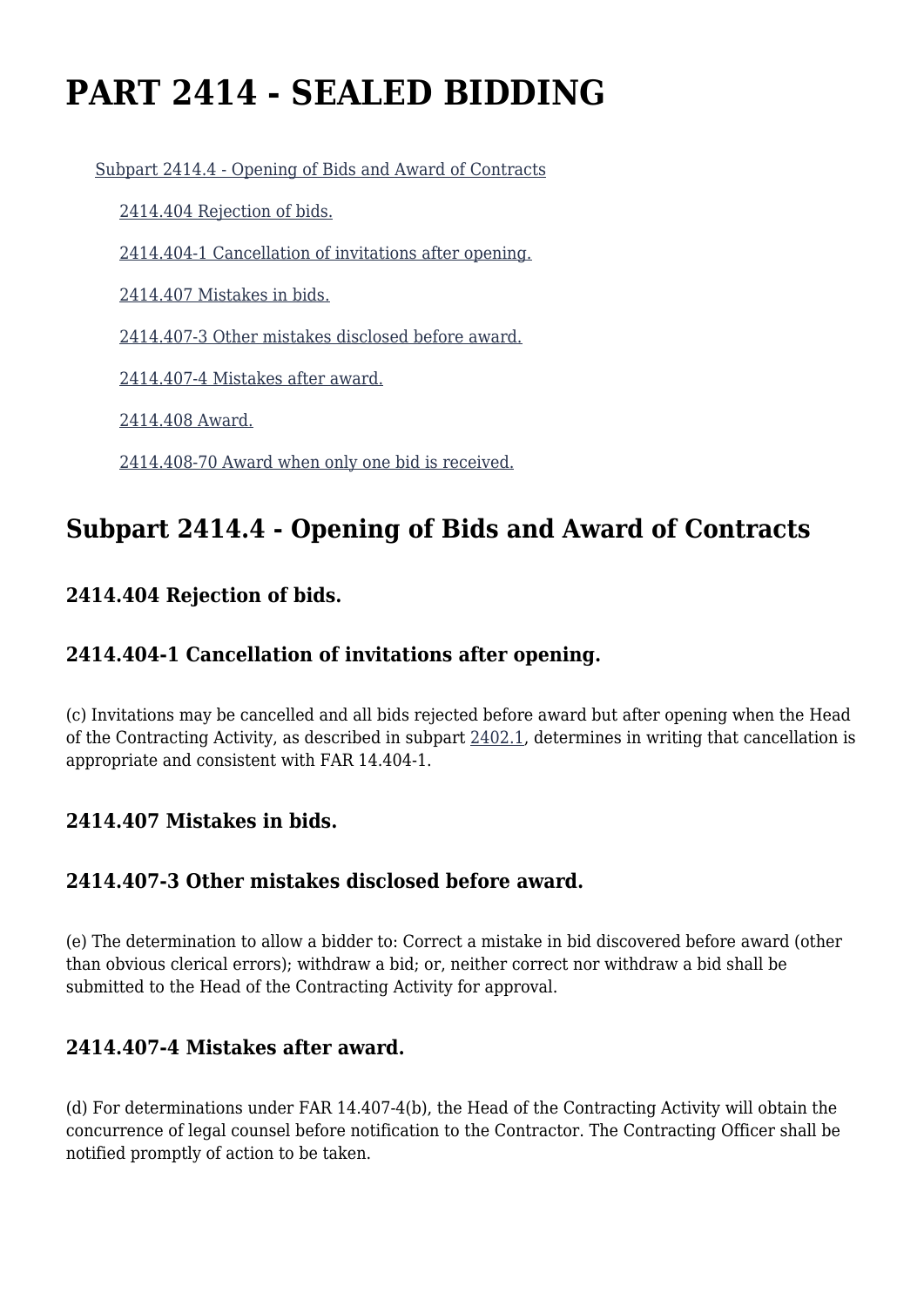# **PART 2414 - SEALED BIDDING**

[Subpart 2414.4 - Opening of Bids and Award of Contracts](https://origin-www.acquisition.gov/%5Brp:link:hudar-part-2414%5D#Subpart_2414_4_T48_60950131)

[2414.404 Rejection of bids.](https://origin-www.acquisition.gov/%5Brp:link:hudar-part-2414%5D#Section_2414_404_T48_6095013111)

[2414.404-1 Cancellation of invitations after opening.](https://origin-www.acquisition.gov/%5Brp:link:hudar-part-2414%5D#Section_2414_404_1_T48_6095013112)

[2414.407 Mistakes in bids.](https://origin-www.acquisition.gov/%5Brp:link:hudar-part-2414%5D#Section_2414_407_T48_6095013113)

[2414.407-3 Other mistakes disclosed before award.](https://origin-www.acquisition.gov/%5Brp:link:hudar-part-2414%5D#Section_2414_407_3_T48_6095013114)

[2414.407-4 Mistakes after award.](https://origin-www.acquisition.gov/%5Brp:link:hudar-part-2414%5D#Section_2414_407_4_T48_6095013115)

[2414.408 Award.](https://origin-www.acquisition.gov/%5Brp:link:hudar-part-2414%5D#Section_2414_408_T48_6095013116)

[2414.408-70 Award when only one bid is received.](https://origin-www.acquisition.gov/%5Brp:link:hudar-part-2414%5D#Section_2414_408_70_T48_6095013117)

# **Subpart 2414.4 - Opening of Bids and Award of Contracts**

## **2414.404 Rejection of bids.**

# **2414.404-1 Cancellation of invitations after opening.**

(c) Invitations may be cancelled and all bids rejected before award but after opening when the Head of the Contracting Activity, as described in subpart [2402.1,](https://origin-www.acquisition.gov/%5Brp:link:hudar-part-2402%5D#Subpart_2402_1_T48_6094831) determines in writing that cancellation is appropriate and consistent with FAR 14.404-1.

#### **2414.407 Mistakes in bids.**

# **2414.407-3 Other mistakes disclosed before award.**

(e) The determination to allow a bidder to: Correct a mistake in bid discovered before award (other than obvious clerical errors); withdraw a bid; or, neither correct nor withdraw a bid shall be submitted to the Head of the Contracting Activity for approval.

### **2414.407-4 Mistakes after award.**

(d) For determinations under FAR 14.407-4(b), the Head of the Contracting Activity will obtain the concurrence of legal counsel before notification to the Contractor. The Contracting Officer shall be notified promptly of action to be taken.